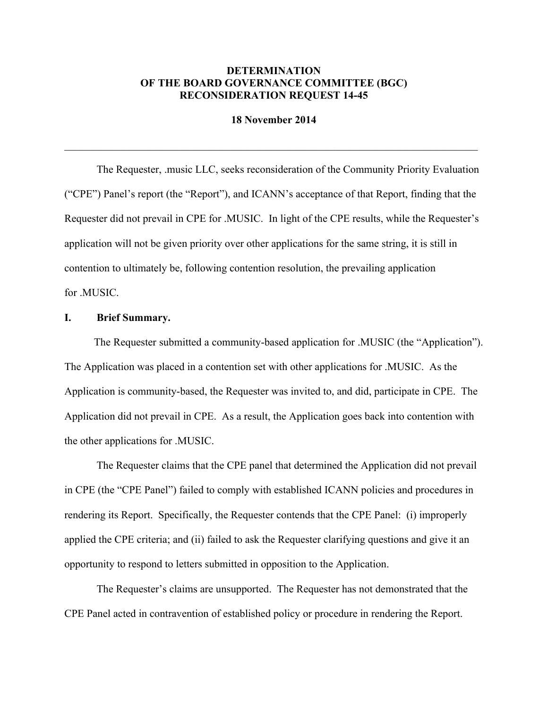## **DETERMINATION OF THE BOARD GOVERNANCE COMMITTEE (BGC) RECONSIDERATION REQUEST 14-45**

**18 November 2014**

 $\mathcal{L}_\mathcal{L} = \{ \mathcal{L}_\mathcal{L} = \{ \mathcal{L}_\mathcal{L} = \{ \mathcal{L}_\mathcal{L} = \{ \mathcal{L}_\mathcal{L} = \{ \mathcal{L}_\mathcal{L} = \{ \mathcal{L}_\mathcal{L} = \{ \mathcal{L}_\mathcal{L} = \{ \mathcal{L}_\mathcal{L} = \{ \mathcal{L}_\mathcal{L} = \{ \mathcal{L}_\mathcal{L} = \{ \mathcal{L}_\mathcal{L} = \{ \mathcal{L}_\mathcal{L} = \{ \mathcal{L}_\mathcal{L} = \{ \mathcal{L}_\mathcal{$ 

The Requester, .music LLC, seeks reconsideration of the Community Priority Evaluation ("CPE") Panel's report (the "Report"), and ICANN's acceptance of that Report, finding that the Requester did not prevail in CPE for .MUSIC. In light of the CPE results, while the Requester's application will not be given priority over other applications for the same string, it is still in contention to ultimately be, following contention resolution, the prevailing application for .MUSIC.

### **I. Brief Summary.**

The Requester submitted a community-based application for .MUSIC (the "Application"). The Application was placed in a contention set with other applications for .MUSIC. As the Application is community-based, the Requester was invited to, and did, participate in CPE. The Application did not prevail in CPE. As a result, the Application goes back into contention with the other applications for .MUSIC.

The Requester claims that the CPE panel that determined the Application did not prevail in CPE (the "CPE Panel") failed to comply with established ICANN policies and procedures in rendering its Report. Specifically, the Requester contends that the CPE Panel: (i) improperly applied the CPE criteria; and (ii) failed to ask the Requester clarifying questions and give it an opportunity to respond to letters submitted in opposition to the Application.

The Requester's claims are unsupported. The Requester has not demonstrated that the CPE Panel acted in contravention of established policy or procedure in rendering the Report.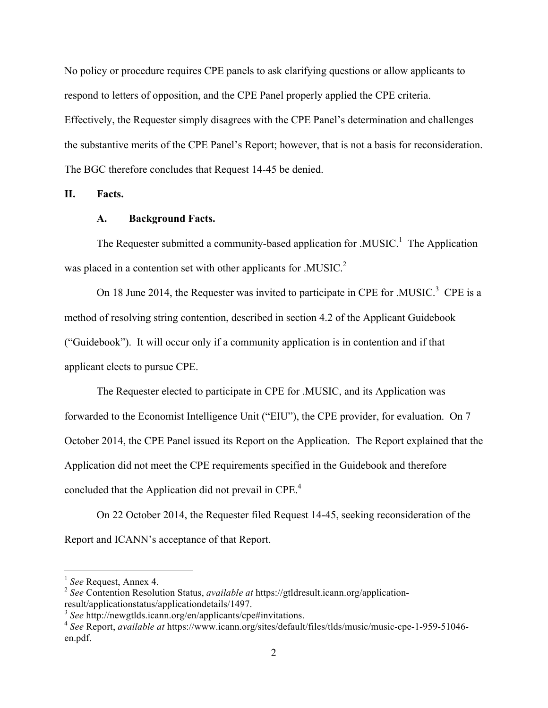No policy or procedure requires CPE panels to ask clarifying questions or allow applicants to respond to letters of opposition, and the CPE Panel properly applied the CPE criteria. Effectively, the Requester simply disagrees with the CPE Panel's determination and challenges the substantive merits of the CPE Panel's Report; however, that is not a basis for reconsideration. The BGC therefore concludes that Request 14-45 be denied.

**II. Facts.**

#### **A. Background Facts.**

The Requester submitted a community-based application for .MUSIC.<sup>1</sup> The Application was placed in a contention set with other applicants for .MUSIC.<sup>2</sup>

On 18 June 2014, the Requester was invited to participate in CPE for .MUSIC.<sup>3</sup> CPE is a method of resolving string contention, described in section 4.2 of the Applicant Guidebook ("Guidebook"). It will occur only if a community application is in contention and if that applicant elects to pursue CPE.

The Requester elected to participate in CPE for .MUSIC, and its Application was forwarded to the Economist Intelligence Unit ("EIU"), the CPE provider, for evaluation. On 7 October 2014, the CPE Panel issued its Report on the Application. The Report explained that the Application did not meet the CPE requirements specified in the Guidebook and therefore concluded that the Application did not prevail in CPE.<sup>4</sup>

On 22 October 2014, the Requester filed Request 14-45, seeking reconsideration of the Report and ICANN's acceptance of that Report.

 <sup>1</sup> *See* Request, Annex 4.

<sup>&</sup>lt;sup>2</sup> See Contention Resolution Status, *available at* https://gtldresult.icann.org/applicationresult/applicationstatus/applicationdetails/1497.

<sup>&</sup>lt;sup>3</sup> *See* http://newgtlds.icann.org/en/applicants/cpe#invitations.

<sup>4</sup> *See* Report, *available at* https://www.icann.org/sites/default/files/tlds/music/music-cpe-1-959-51046 en.pdf.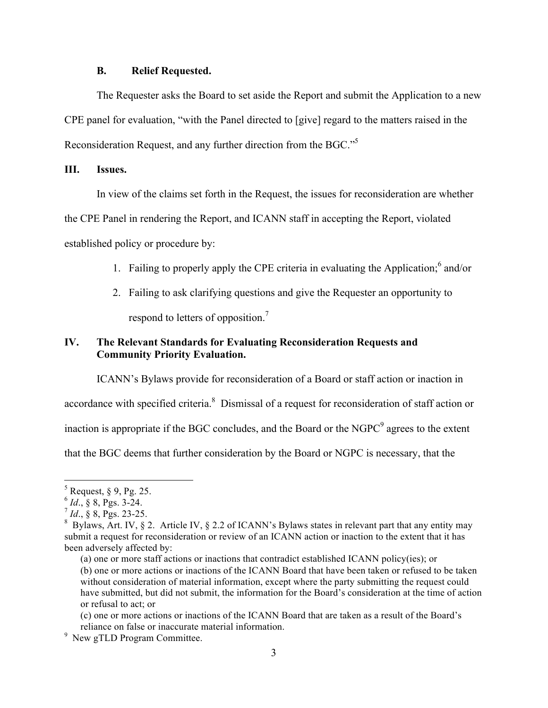#### **B. Relief Requested.**

The Requester asks the Board to set aside the Report and submit the Application to a new CPE panel for evaluation, "with the Panel directed to [give] regard to the matters raised in the Reconsideration Request, and any further direction from the BGC."<sup>5</sup>

## **III. Issues.**

In view of the claims set forth in the Request, the issues for reconsideration are whether

the CPE Panel in rendering the Report, and ICANN staff in accepting the Report, violated established policy or procedure by:

- 1. Failing to properly apply the CPE criteria in evaluating the Application; <sup>6</sup> and/or
- 2. Failing to ask clarifying questions and give the Requester an opportunity to respond to letters of opposition.<sup>7</sup>

## **IV. The Relevant Standards for Evaluating Reconsideration Requests and Community Priority Evaluation.**

ICANN's Bylaws provide for reconsideration of a Board or staff action or inaction in

accordance with specified criteria.<sup>8</sup> Dismissal of a request for reconsideration of staff action or

inaction is appropriate if the BGC concludes, and the Board or the  $NGPC<sup>9</sup>$  agrees to the extent

that the BGC deems that further consideration by the Board or NGPC is necessary, that the

 $<sup>5</sup>$  Request, § 9, Pg. 25.</sup>

 $^{6}$  *Id.*, § 8, Pgs. 3-24.

 $^7$  *Id.*, § 8, Pgs. 23-25.

<sup>&</sup>lt;sup>8</sup> Bylaws, Art. IV, § 2. Article IV, § 2.2 of ICANN's Bylaws states in relevant part that any entity may submit a request for reconsideration or review of an ICANN action or inaction to the extent that it has been adversely affected by:

<sup>(</sup>a) one or more staff actions or inactions that contradict established ICANN policy(ies); or

<sup>(</sup>b) one or more actions or inactions of the ICANN Board that have been taken or refused to be taken without consideration of material information, except where the party submitting the request could have submitted, but did not submit, the information for the Board's consideration at the time of action or refusal to act; or

<sup>(</sup>c) one or more actions or inactions of the ICANN Board that are taken as a result of the Board's reliance on false or inaccurate material information.

<sup>&</sup>lt;sup>9</sup> New gTLD Program Committee.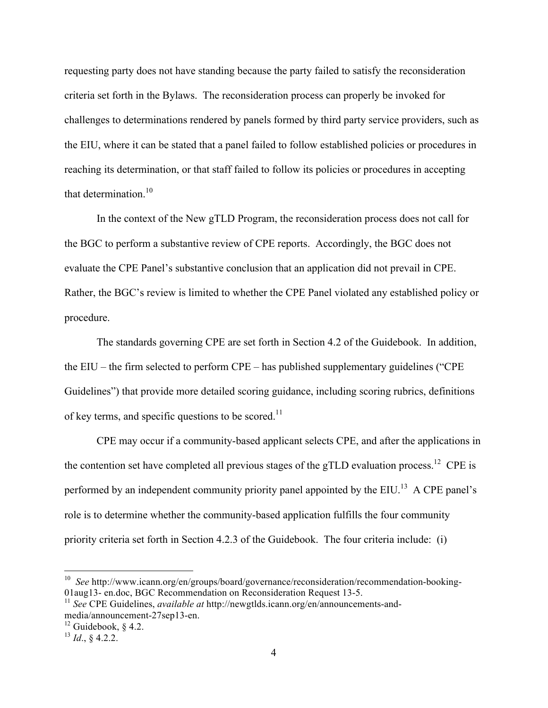requesting party does not have standing because the party failed to satisfy the reconsideration criteria set forth in the Bylaws. The reconsideration process can properly be invoked for challenges to determinations rendered by panels formed by third party service providers, such as the EIU, where it can be stated that a panel failed to follow established policies or procedures in reaching its determination, or that staff failed to follow its policies or procedures in accepting that determination.<sup>10</sup>

In the context of the New gTLD Program, the reconsideration process does not call for the BGC to perform a substantive review of CPE reports. Accordingly, the BGC does not evaluate the CPE Panel's substantive conclusion that an application did not prevail in CPE. Rather, the BGC's review is limited to whether the CPE Panel violated any established policy or procedure.

The standards governing CPE are set forth in Section 4.2 of the Guidebook. In addition, the EIU – the firm selected to perform CPE – has published supplementary guidelines ("CPE Guidelines") that provide more detailed scoring guidance, including scoring rubrics, definitions of key terms, and specific questions to be scored.<sup>11</sup>

CPE may occur if a community-based applicant selects CPE, and after the applications in the contention set have completed all previous stages of the gTLD evaluation process.<sup>12</sup> CPE is performed by an independent community priority panel appointed by the  $EIU$ <sup>13</sup> A CPE panel's role is to determine whether the community-based application fulfills the four community priority criteria set forth in Section 4.2.3 of the Guidebook. The four criteria include: (i)

 <sup>10</sup> *See* http://www.icann.org/en/groups/board/governance/reconsideration/recommendation-booking-01aug13- en.doc, BGC Recommendation on Reconsideration Request 13-5.

<sup>11</sup> *See* CPE Guidelines, *available at* http://newgtlds.icann.org/en/announcements-andmedia/announcement-27sep13-en.

<sup>&</sup>lt;sup>12</sup> Guidebook,  $§$  4.2.

<sup>13</sup> *Id*., § 4.2.2.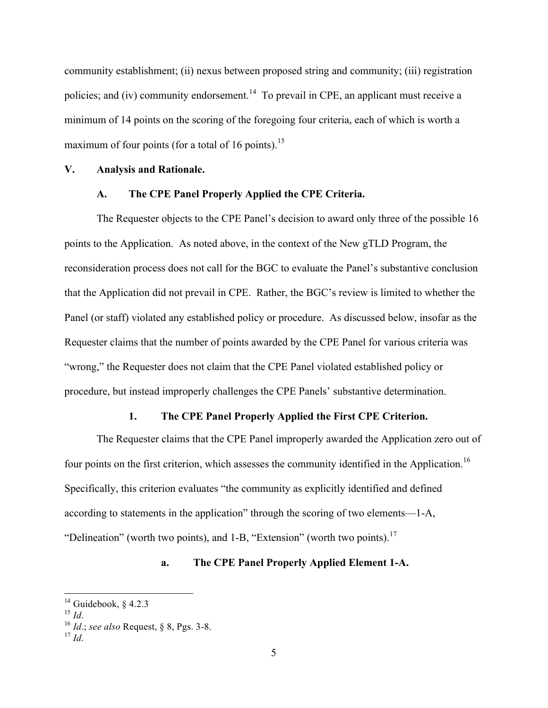community establishment; (ii) nexus between proposed string and community; (iii) registration policies; and (iv) community endorsement.<sup>14</sup> To prevail in CPE, an applicant must receive a minimum of 14 points on the scoring of the foregoing four criteria, each of which is worth a maximum of four points (for a total of 16 points).<sup>15</sup>

#### **V. Analysis and Rationale.**

### **A. The CPE Panel Properly Applied the CPE Criteria.**

The Requester objects to the CPE Panel's decision to award only three of the possible 16 points to the Application. As noted above, in the context of the New gTLD Program, the reconsideration process does not call for the BGC to evaluate the Panel's substantive conclusion that the Application did not prevail in CPE. Rather, the BGC's review is limited to whether the Panel (or staff) violated any established policy or procedure. As discussed below, insofar as the Requester claims that the number of points awarded by the CPE Panel for various criteria was "wrong," the Requester does not claim that the CPE Panel violated established policy or procedure, but instead improperly challenges the CPE Panels' substantive determination.

### **1. The CPE Panel Properly Applied the First CPE Criterion.**

The Requester claims that the CPE Panel improperly awarded the Application zero out of four points on the first criterion, which assesses the community identified in the Application.<sup>16</sup> Specifically, this criterion evaluates "the community as explicitly identified and defined according to statements in the application" through the scoring of two elements—1-A, "Delineation" (worth two points), and  $1-\overline{B}$ , "Extension" (worth two points).<sup>17</sup>

## **a. The CPE Panel Properly Applied Element 1-A.**

<sup>&</sup>lt;sup>14</sup> Guidebook, § 4.2.3<br><sup>15</sup> *Id*.

<sup>15</sup> *Id*. <sup>16</sup> *Id*.; *see also* Request, § 8, Pgs. 3-8.

 $17$  *Id*<sup> $\overline{)}$ </sup>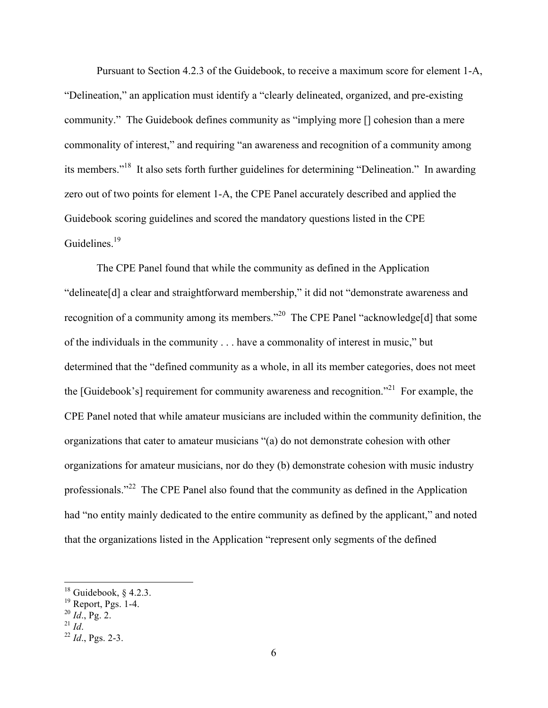Pursuant to Section 4.2.3 of the Guidebook, to receive a maximum score for element 1-A, "Delineation," an application must identify a "clearly delineated, organized, and pre-existing community." The Guidebook defines community as "implying more [] cohesion than a mere commonality of interest," and requiring "an awareness and recognition of a community among its members."18 It also sets forth further guidelines for determining "Delineation." In awarding zero out of two points for element 1-A, the CPE Panel accurately described and applied the Guidebook scoring guidelines and scored the mandatory questions listed in the CPE Guidelines.<sup>19</sup>

The CPE Panel found that while the community as defined in the Application "delineate[d] a clear and straightforward membership," it did not "demonstrate awareness and recognition of a community among its members."20 The CPE Panel "acknowledge[d] that some of the individuals in the community . . . have a commonality of interest in music," but determined that the "defined community as a whole, in all its member categories, does not meet the [Guidebook's] requirement for community awareness and recognition."<sup>21</sup> For example, the CPE Panel noted that while amateur musicians are included within the community definition, the organizations that cater to amateur musicians "(a) do not demonstrate cohesion with other organizations for amateur musicians, nor do they (b) demonstrate cohesion with music industry professionals."22 The CPE Panel also found that the community as defined in the Application had "no entity mainly dedicated to the entire community as defined by the applicant," and noted that the organizations listed in the Application "represent only segments of the defined

 $18$  Guidebook, § 4.2.3.

<sup>&</sup>lt;sup>19</sup> Report, Pgs. 1-4.

 $^{20}$  *Id.*, Pg. 2.

 $^{22}$  *Id.*, Pgs. 2-3.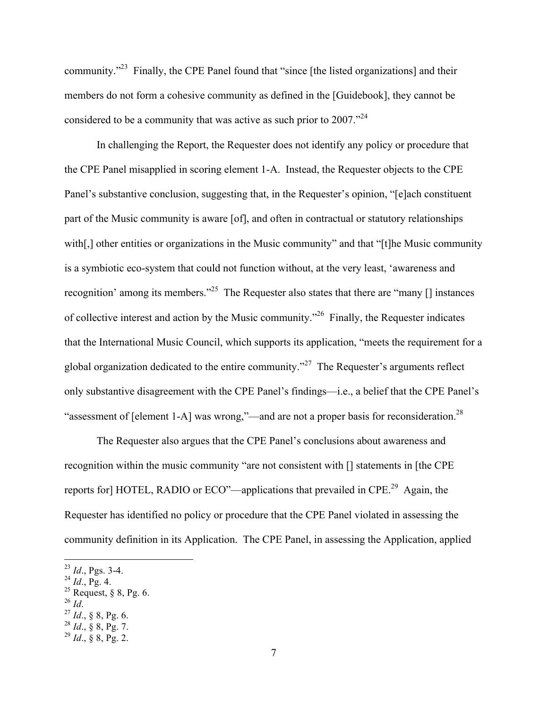community."23 Finally, the CPE Panel found that "since [the listed organizations] and their members do not form a cohesive community as defined in the [Guidebook], they cannot be considered to be a community that was active as such prior to 2007."<sup>24</sup>

In challenging the Report, the Requester does not identify any policy or procedure that the CPE Panel misapplied in scoring element 1-A. Instead, the Requester objects to the CPE Panel's substantive conclusion, suggesting that, in the Requester's opinion, "[e]ach constituent part of the Music community is aware [of], and often in contractual or statutory relationships with[,] other entities or organizations in the Music community" and that "[t]he Music community is a symbiotic eco-system that could not function without, at the very least, 'awareness and recognition' among its members."<sup>25</sup> The Requester also states that there are "many  $\lceil \rceil$  instances" of collective interest and action by the Music community."26 Finally, the Requester indicates that the International Music Council, which supports its application, "meets the requirement for a global organization dedicated to the entire community."<sup>27</sup> The Requester's arguments reflect only substantive disagreement with the CPE Panel's findings—i.e., a belief that the CPE Panel's "assessment of [element 1-A] was wrong,"—and are not a proper basis for reconsideration.<sup>28</sup>

The Requester also argues that the CPE Panel's conclusions about awareness and recognition within the music community "are not consistent with [] statements in [the CPE reports for] HOTEL, RADIO or ECO"—applications that prevailed in CPE.29 Again, the Requester has identified no policy or procedure that the CPE Panel violated in assessing the community definition in its Application. The CPE Panel, in assessing the Application, applied

- 
- <sup>26</sup> *Id*. <sup>27</sup> *Id*., § 8, Pg. 6.
- $^{28}$  *Id.*, § 8, Pg. 7.

 <sup>23</sup> *Id*., Pgs. 3-4.

 $^{24}$  *Id.*, Pg. 4.

<sup>&</sup>lt;sup>25</sup> Request, § 8, Pg. 6.<br><sup>26</sup> *Id.* 

<sup>29</sup> *Id*., § 8, Pg. 2.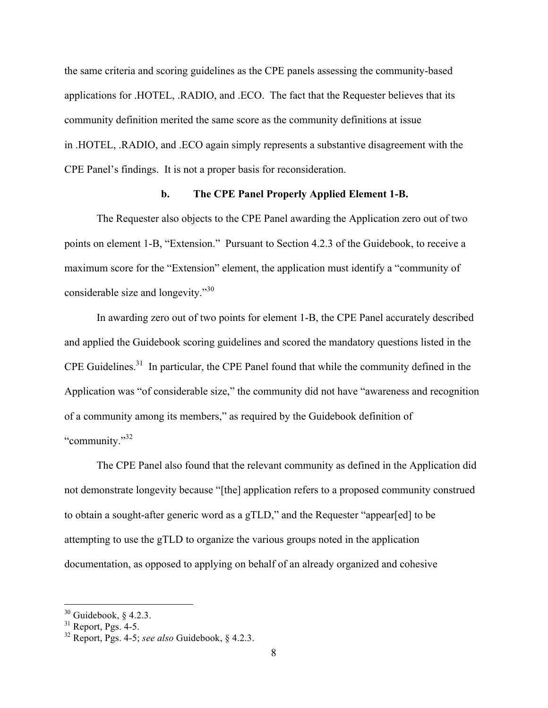the same criteria and scoring guidelines as the CPE panels assessing the community-based applications for .HOTEL, .RADIO, and .ECO. The fact that the Requester believes that its community definition merited the same score as the community definitions at issue in .HOTEL, .RADIO, and .ECO again simply represents a substantive disagreement with the CPE Panel's findings. It is not a proper basis for reconsideration.

#### **b. The CPE Panel Properly Applied Element 1-B.**

The Requester also objects to the CPE Panel awarding the Application zero out of two points on element 1-B, "Extension." Pursuant to Section 4.2.3 of the Guidebook, to receive a maximum score for the "Extension" element, the application must identify a "community of considerable size and longevity."30

In awarding zero out of two points for element 1-B, the CPE Panel accurately described and applied the Guidebook scoring guidelines and scored the mandatory questions listed in the CPE Guidelines.31 In particular, the CPE Panel found that while the community defined in the Application was "of considerable size," the community did not have "awareness and recognition of a community among its members," as required by the Guidebook definition of "community."32

The CPE Panel also found that the relevant community as defined in the Application did not demonstrate longevity because "[the] application refers to a proposed community construed to obtain a sought-after generic word as a gTLD," and the Requester "appear[ed] to be attempting to use the gTLD to organize the various groups noted in the application documentation, as opposed to applying on behalf of an already organized and cohesive

 $30$  Guidebook, § 4.2.3.

 $31$  Report, Pgs. 4-5.

<sup>32</sup> Report, Pgs. 4-5; *see also* Guidebook, § 4.2.3.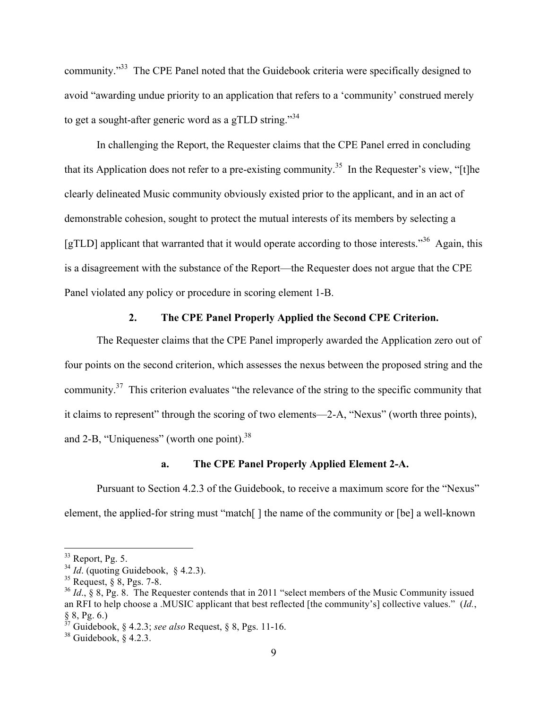community."33 The CPE Panel noted that the Guidebook criteria were specifically designed to avoid "awarding undue priority to an application that refers to a 'community' construed merely to get a sought-after generic word as a gTLD string."<sup>34</sup>

In challenging the Report, the Requester claims that the CPE Panel erred in concluding that its Application does not refer to a pre-existing community.<sup>35</sup> In the Requester's view, "[t]he clearly delineated Music community obviously existed prior to the applicant, and in an act of demonstrable cohesion, sought to protect the mutual interests of its members by selecting a [gTLD] applicant that warranted that it would operate according to those interests."<sup>36</sup> Again, this is a disagreement with the substance of the Report—the Requester does not argue that the CPE Panel violated any policy or procedure in scoring element 1-B.

### **2. The CPE Panel Properly Applied the Second CPE Criterion.**

The Requester claims that the CPE Panel improperly awarded the Application zero out of four points on the second criterion, which assesses the nexus between the proposed string and the community.<sup>37</sup> This criterion evaluates "the relevance of the string to the specific community that it claims to represent" through the scoring of two elements—2-A, "Nexus" (worth three points), and 2-B, "Uniqueness" (worth one point). $38$ 

## **a. The CPE Panel Properly Applied Element 2-A.**

Pursuant to Section 4.2.3 of the Guidebook, to receive a maximum score for the "Nexus" element, the applied-for string must "match[ ] the name of the community or [be] a well-known

 $33$  Report, Pg. 5.

 $^{34}$  *Id.* (quoting Guidebook, § 4.2.3).

<sup>35</sup> Request, § 8, Pgs. 7-8.

<sup>&</sup>lt;sup>36</sup> *Id.*, § 8, Pg. 8. The Requester contends that in 2011 "select members of the Music Community issued an RFI to help choose a .MUSIC applicant that best reflected [the community's] collective values." (*Id.*, § 8, Pg. 6.)

<sup>37</sup> Guidebook, § 4.2.3; *see also* Request, § 8, Pgs. 11-16.

 $38$  Guidebook, § 4.2.3.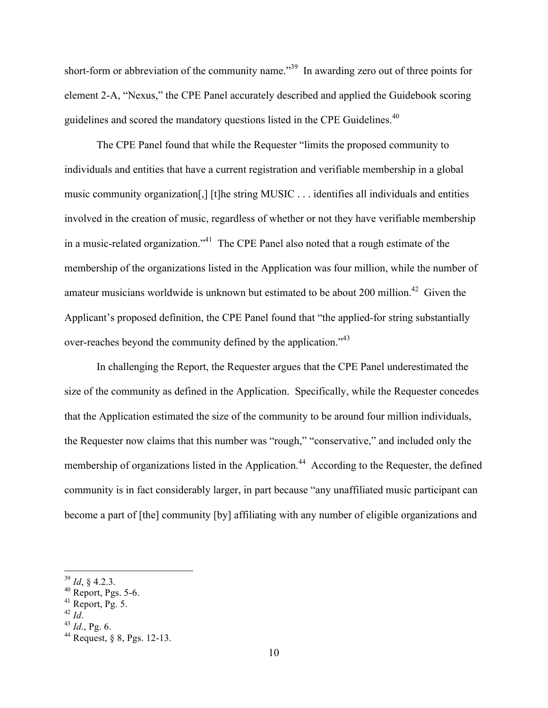short-form or abbreviation of the community name."<sup>39</sup> In awarding zero out of three points for element 2-A, "Nexus," the CPE Panel accurately described and applied the Guidebook scoring guidelines and scored the mandatory questions listed in the CPE Guidelines.<sup>40</sup>

The CPE Panel found that while the Requester "limits the proposed community to individuals and entities that have a current registration and verifiable membership in a global music community organization[,] [t]he string MUSIC . . . identifies all individuals and entities involved in the creation of music, regardless of whether or not they have verifiable membership in a music-related organization."<sup>41</sup> The CPE Panel also noted that a rough estimate of the membership of the organizations listed in the Application was four million, while the number of amateur musicians worldwide is unknown but estimated to be about 200 million.<sup>42</sup> Given the Applicant's proposed definition, the CPE Panel found that "the applied-for string substantially over-reaches beyond the community defined by the application."<sup>43</sup>

In challenging the Report, the Requester argues that the CPE Panel underestimated the size of the community as defined in the Application. Specifically, while the Requester concedes that the Application estimated the size of the community to be around four million individuals, the Requester now claims that this number was "rough," "conservative," and included only the membership of organizations listed in the Application.<sup>44</sup> According to the Requester, the defined community is in fact considerably larger, in part because "any unaffiliated music participant can become a part of [the] community [by] affiliating with any number of eligible organizations and

 <sup>39</sup> *Id*, § 4.2.3.

 $40$  Report, Pgs. 5-6.

<sup>&</sup>lt;sup>41</sup> Report, Pg. 5.<br><sup>42</sup> Id.

<sup>42</sup> *Id*. <sup>43</sup> *Id*., Pg. 6.

<sup>44</sup> Request, § 8, Pgs. 12-13.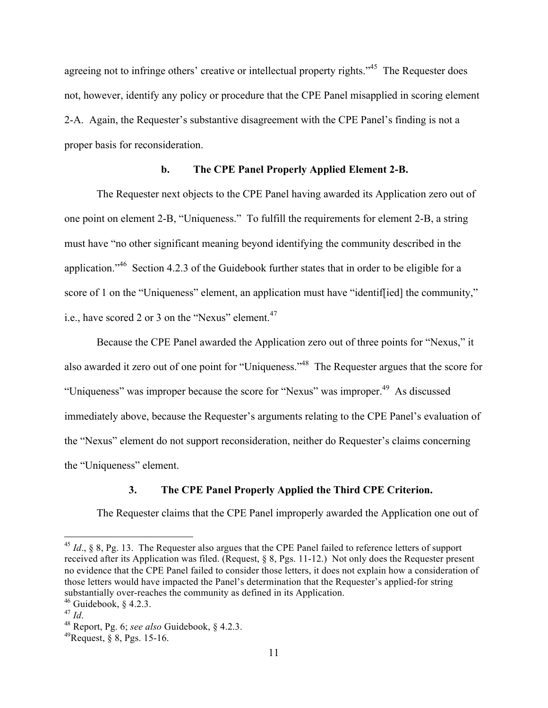agreeing not to infringe others' creative or intellectual property rights."<sup>45</sup> The Requester does not, however, identify any policy or procedure that the CPE Panel misapplied in scoring element 2-A. Again, the Requester's substantive disagreement with the CPE Panel's finding is not a proper basis for reconsideration.

## **b. The CPE Panel Properly Applied Element 2-B.**

The Requester next objects to the CPE Panel having awarded its Application zero out of one point on element 2-B, "Uniqueness." To fulfill the requirements for element 2-B, a string must have "no other significant meaning beyond identifying the community described in the application."46 Section 4.2.3 of the Guidebook further states that in order to be eligible for a score of 1 on the "Uniqueness" element, an application must have "identiffied] the community," i.e., have scored 2 or 3 on the "Nexus" element.<sup>47</sup>

Because the CPE Panel awarded the Application zero out of three points for "Nexus," it also awarded it zero out of one point for "Uniqueness."48 The Requester argues that the score for "Uniqueness" was improper because the score for "Nexus" was improper.<sup>49</sup> As discussed immediately above, because the Requester's arguments relating to the CPE Panel's evaluation of the "Nexus" element do not support reconsideration, neither do Requester's claims concerning the "Uniqueness" element.

### **3. The CPE Panel Properly Applied the Third CPE Criterion.**

The Requester claims that the CPE Panel improperly awarded the Application one out of

 <sup>45</sup> *Id*., § 8, Pg. 13. The Requester also argues that the CPE Panel failed to reference letters of support received after its Application was filed. (Request, § 8, Pgs. 11-12.) Not only does the Requester present no evidence that the CPE Panel failed to consider those letters, it does not explain how a consideration of those letters would have impacted the Panel's determination that the Requester's applied-for string substantially over-reaches the community as defined in its Application.

<sup>&</sup>lt;sup>46</sup> Guidebook, § 4.2.3.<br><sup>47</sup> *Id.* 

<sup>47</sup> *Id*. <sup>48</sup> Report, Pg. 6; *see also* Guidebook, § 4.2.3.

 $^{49}$ Request,  $\frac{8}{9}$ , Pgs. 15-16.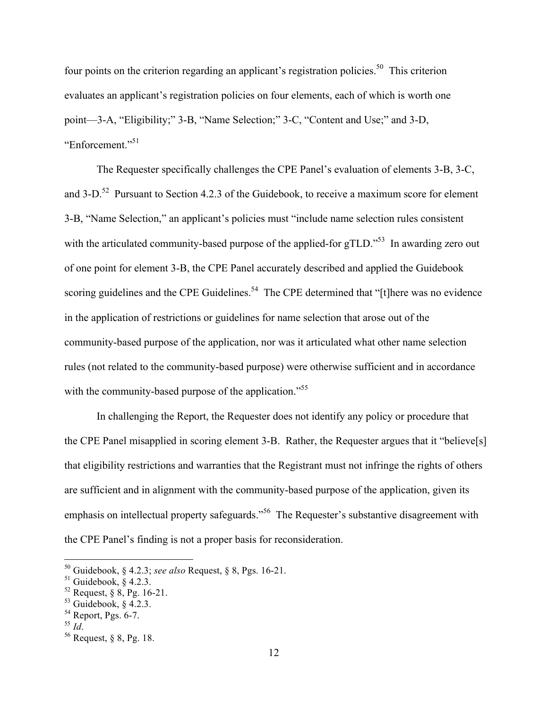four points on the criterion regarding an applicant's registration policies.<sup>50</sup> This criterion evaluates an applicant's registration policies on four elements, each of which is worth one point—3-A, "Eligibility;" 3-B, "Name Selection;" 3-C, "Content and Use;" and 3-D, "Enforcement." 51

The Requester specifically challenges the CPE Panel's evaluation of elements 3-B, 3-C, and  $3-D$ .<sup>52</sup> Pursuant to Section 4.2.3 of the Guidebook, to receive a maximum score for element 3-B, "Name Selection," an applicant's policies must "include name selection rules consistent with the articulated community-based purpose of the applied-for gTLD."<sup>53</sup> In awarding zero out of one point for element 3-B, the CPE Panel accurately described and applied the Guidebook scoring guidelines and the CPE Guidelines.<sup>54</sup> The CPE determined that "[t]here was no evidence in the application of restrictions or guidelines for name selection that arose out of the community-based purpose of the application, nor was it articulated what other name selection rules (not related to the community-based purpose) were otherwise sufficient and in accordance with the community-based purpose of the application.<sup>"55</sup>

In challenging the Report, the Requester does not identify any policy or procedure that the CPE Panel misapplied in scoring element 3-B. Rather, the Requester argues that it "believe[s] that eligibility restrictions and warranties that the Registrant must not infringe the rights of others are sufficient and in alignment with the community-based purpose of the application, given its emphasis on intellectual property safeguards."<sup>56</sup> The Requester's substantive disagreement with the CPE Panel's finding is not a proper basis for reconsideration.

 <sup>50</sup> Guidebook, § 4.2.3; *see also* Request, § 8, Pgs. 16-21.

 $51$  Guidebook, § 4.2.3.

 $52$  Request,  $\frac{6}{9}$ , Pg. 16-21.

 $53$  Guidebook, § 4.2.3.

 $^{54}$  Report, Pgs. 6-7.<br> $^{55}$  *Id.* 

<sup>55</sup> *Id*. <sup>56</sup> Request, § 8, Pg. 18.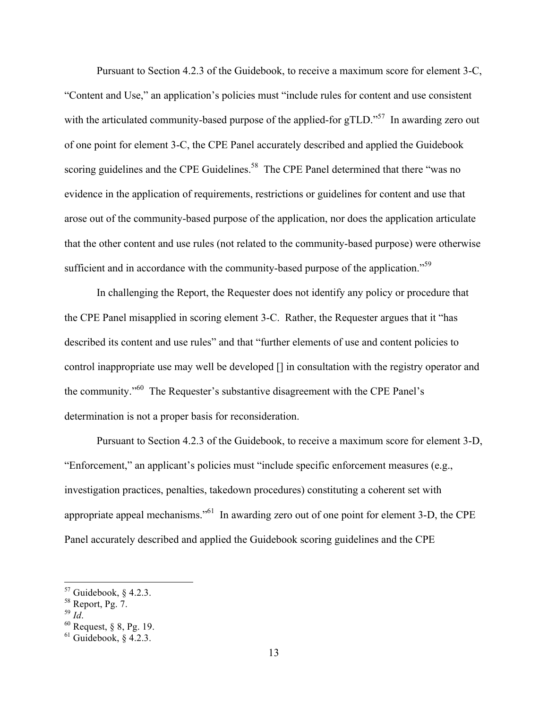Pursuant to Section 4.2.3 of the Guidebook, to receive a maximum score for element 3-C, "Content and Use," an application's policies must "include rules for content and use consistent with the articulated community-based purpose of the applied-for gTLD."<sup>57</sup> In awarding zero out of one point for element 3-C, the CPE Panel accurately described and applied the Guidebook scoring guidelines and the CPE Guidelines.<sup>58</sup> The CPE Panel determined that there "was no evidence in the application of requirements, restrictions or guidelines for content and use that arose out of the community-based purpose of the application, nor does the application articulate that the other content and use rules (not related to the community-based purpose) were otherwise sufficient and in accordance with the community-based purpose of the application."<sup>59</sup>

In challenging the Report, the Requester does not identify any policy or procedure that the CPE Panel misapplied in scoring element 3-C. Rather, the Requester argues that it "has described its content and use rules" and that "further elements of use and content policies to control inappropriate use may well be developed [] in consultation with the registry operator and the community."60 The Requester's substantive disagreement with the CPE Panel's determination is not a proper basis for reconsideration.

Pursuant to Section 4.2.3 of the Guidebook, to receive a maximum score for element 3-D, "Enforcement," an applicant's policies must "include specific enforcement measures (e.g., investigation practices, penalties, takedown procedures) constituting a coherent set with appropriate appeal mechanisms."61 In awarding zero out of one point for element 3-D, the CPE Panel accurately described and applied the Guidebook scoring guidelines and the CPE

 $\frac{57}{10}$  Guidebook, § 4.2.3.

 $58$  Report, Pg. 7.

<sup>59</sup> *Id*. <sup>60</sup> Request, § 8, Pg. 19.

 $61$  Guidebook, § 4.2.3.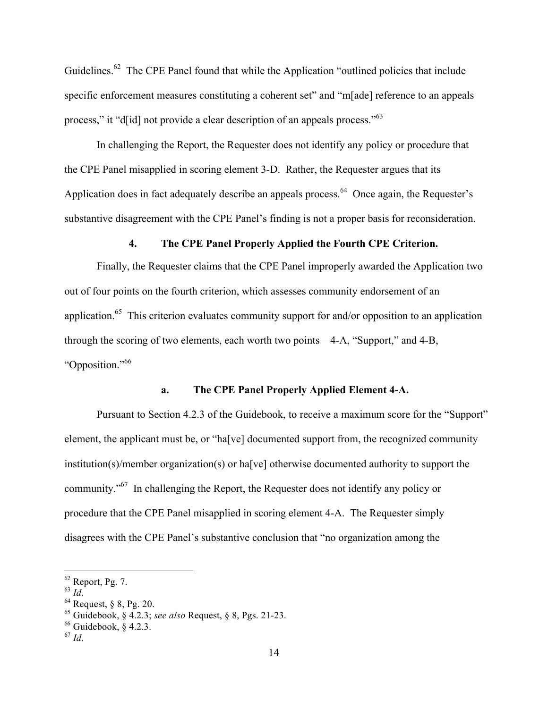Guidelines.<sup>62</sup> The CPE Panel found that while the Application "outlined policies that include specific enforcement measures constituting a coherent set" and "m[ade] reference to an appeals process," it "d[id] not provide a clear description of an appeals process."63

In challenging the Report, the Requester does not identify any policy or procedure that the CPE Panel misapplied in scoring element 3-D. Rather, the Requester argues that its Application does in fact adequately describe an appeals process.<sup>64</sup> Once again, the Requester's substantive disagreement with the CPE Panel's finding is not a proper basis for reconsideration.

### **4. The CPE Panel Properly Applied the Fourth CPE Criterion.**

Finally, the Requester claims that the CPE Panel improperly awarded the Application two out of four points on the fourth criterion, which assesses community endorsement of an application.<sup>65</sup> This criterion evaluates community support for and/or opposition to an application through the scoring of two elements, each worth two points—4-A, "Support," and 4-B, "Opposition." 66

### **a. The CPE Panel Properly Applied Element 4-A.**

Pursuant to Section 4.2.3 of the Guidebook, to receive a maximum score for the "Support" element, the applicant must be, or "ha[ve] documented support from, the recognized community institution(s)/member organization(s) or ha[ve] otherwise documented authority to support the community."<sup>67</sup> In challenging the Report, the Requester does not identify any policy or procedure that the CPE Panel misapplied in scoring element 4-A. The Requester simply disagrees with the CPE Panel's substantive conclusion that "no organization among the

 $^{62}$  Report, Pg. 7.<br> $^{63}$  *Id.* 

<sup>&</sup>lt;sup>64</sup> Request, § 8, Pg. 20.

<sup>65</sup> Guidebook, § 4.2.3; *see also* Request, § 8, Pgs. 21-23.

 $66$  Guidebook,  $8, 4, 2, 3$ .

<sup>67</sup> *Id*.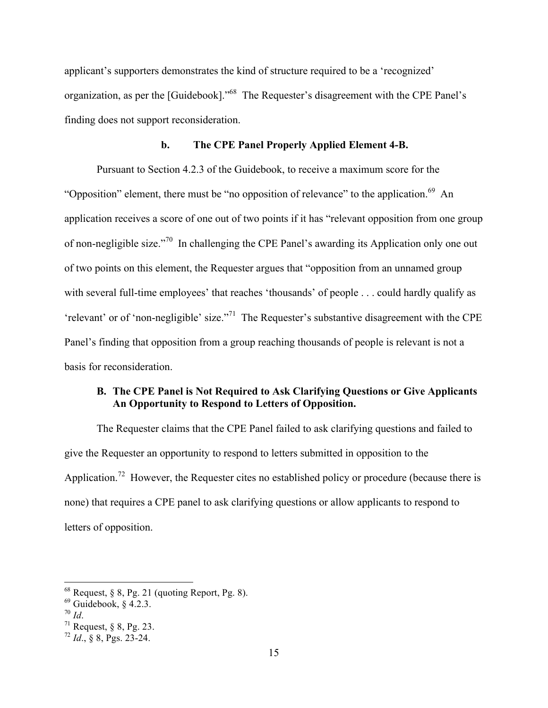applicant's supporters demonstrates the kind of structure required to be a 'recognized' organization, as per the [Guidebook]."68 The Requester's disagreement with the CPE Panel's finding does not support reconsideration.

### **b. The CPE Panel Properly Applied Element 4-B.**

Pursuant to Section 4.2.3 of the Guidebook, to receive a maximum score for the "Opposition" element, there must be "no opposition of relevance" to the application.<sup>69</sup> An application receives a score of one out of two points if it has "relevant opposition from one group of non-negligible size."70 In challenging the CPE Panel's awarding its Application only one out of two points on this element, the Requester argues that "opposition from an unnamed group with several full-time employees' that reaches 'thousands' of people . . . could hardly qualify as 'relevant' or of 'non-negligible' size."71 The Requester's substantive disagreement with the CPE Panel's finding that opposition from a group reaching thousands of people is relevant is not a basis for reconsideration.

# **B. The CPE Panel is Not Required to Ask Clarifying Questions or Give Applicants An Opportunity to Respond to Letters of Opposition.**

The Requester claims that the CPE Panel failed to ask clarifying questions and failed to give the Requester an opportunity to respond to letters submitted in opposition to the Application.<sup>72</sup> However, the Requester cites no established policy or procedure (because there is none) that requires a CPE panel to ask clarifying questions or allow applicants to respond to letters of opposition.

 $68$  Request, § 8, Pg. 21 (quoting Report, Pg. 8).

 $\frac{69}{70}$  Guidebook, § 4.2.3.

<sup>&</sup>lt;sup>70</sup> *Id.* <br><sup>71</sup> Request, § 8, Pg. 23.

<sup>72</sup> *Id*., § 8, Pgs. 23-24.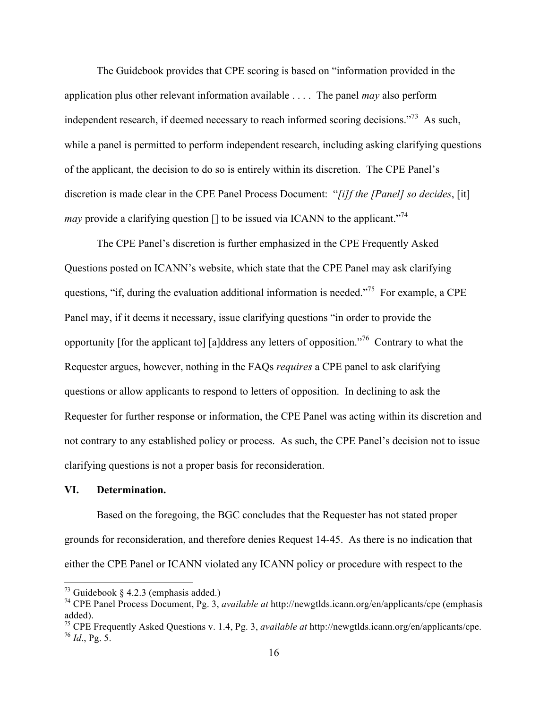The Guidebook provides that CPE scoring is based on "information provided in the application plus other relevant information available . . . . The panel *may* also perform independent research, if deemed necessary to reach informed scoring decisions."73 As such, while a panel is permitted to perform independent research, including asking clarifying questions of the applicant, the decision to do so is entirely within its discretion. The CPE Panel's discretion is made clear in the CPE Panel Process Document: "*[i]f the [Panel] so decides*, [it] *may* provide a clarifying question  $\Box$  to be issued via ICANN to the applicant."<sup>74</sup>

The CPE Panel's discretion is further emphasized in the CPE Frequently Asked Questions posted on ICANN's website, which state that the CPE Panel may ask clarifying questions, "if, during the evaluation additional information is needed."<sup>75</sup> For example, a CPE Panel may, if it deems it necessary, issue clarifying questions "in order to provide the opportunity [for the applicant to] [a]ddress any letters of opposition."76 Contrary to what the Requester argues, however, nothing in the FAQs *requires* a CPE panel to ask clarifying questions or allow applicants to respond to letters of opposition.In declining to ask the Requester for further response or information, the CPE Panel was acting within its discretion and not contrary to any established policy or process. As such, the CPE Panel's decision not to issue clarifying questions is not a proper basis for reconsideration.

#### **VI. Determination.**

Based on the foregoing, the BGC concludes that the Requester has not stated proper grounds for reconsideration, and therefore denies Request 14-45. As there is no indication that either the CPE Panel or ICANN violated any ICANN policy or procedure with respect to the

 $73$  Guidebook § 4.2.3 (emphasis added.)

<sup>74</sup> CPE Panel Process Document, Pg. 3, *available at* http://newgtlds.icann.org/en/applicants/cpe (emphasis added).

<sup>75</sup> CPE Frequently Asked Questions v. 1.4, Pg. 3, *available at* http://newgtlds.icann.org/en/applicants/cpe.  $^{76}$  *Id.*, Pg. 5.